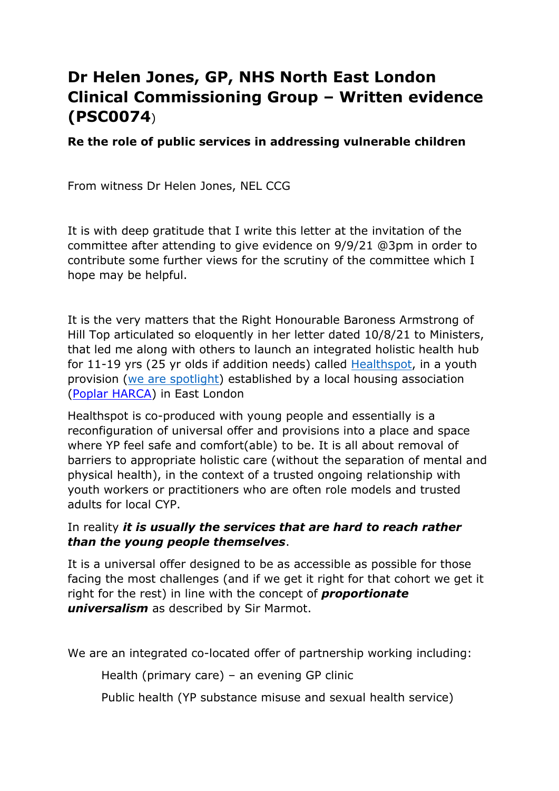# **Dr Helen Jones, GP, NHS North East London Clinical Commissioning Group – Written evidence (PSC0074**)

**Re the role of public services in addressing vulnerable children**

From witness Dr Helen Jones, NEL CCG

It is with deep gratitude that I write this letter at the invitation of the committee after attending to give evidence on 9/9/21 @3pm in order to contribute some further views for the scrutiny of the committee which I hope may be helpful.

It is the very matters that the Right Honourable Baroness Armstrong of Hill Top articulated so eloquently in her letter dated 10/8/21 to Ministers, that led me along with others to launch an integrated holistic health hub for 11-19 yrs (25 yr olds if addition needs) called [Healthspot,](https://youtu.be/IxxVhBYgJps) in a youth provision [\(we](https://wearespotlight.com/) [are](https://wearespotlight.com/) [spotlight](https://wearespotlight.com/)) established by a local housing association [\(Poplar](https://www.poplarharca.co.uk/) [HARCA](https://www.poplarharca.co.uk/)) in East London

Healthspot is co-produced with young people and essentially is a reconfiguration of universal offer and provisions into a place and space where YP feel safe and comfort(able) to be. It is all about removal of barriers to appropriate holistic care (without the separation of mental and physical health), in the context of a trusted ongoing relationship with youth workers or practitioners who are often role models and trusted adults for local CYP.

# In reality *it is usually the services that are hard to reach rather than the young people themselves*.

It is a universal offer designed to be as accessible as possible for those facing the most challenges (and if we get it right for that cohort we get it right for the rest) in line with the concept of *proportionate universalism* as described by Sir Marmot.

We are an integrated co-located offer of partnership working including:

Health (primary care) – an evening GP clinic

Public health (YP substance misuse and sexual health service)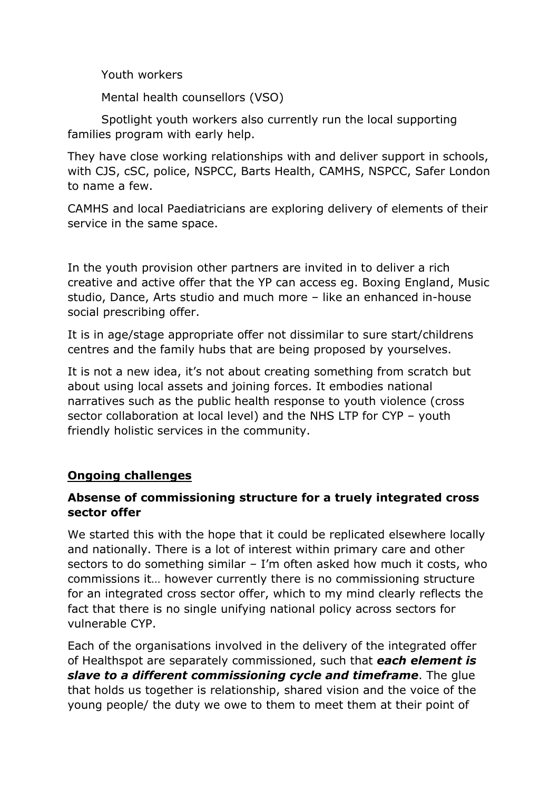Youth workers

Mental health counsellors (VSO)

Spotlight youth workers also currently run the local supporting families program with early help.

They have close working relationships with and deliver support in schools, with CJS, cSC, police, NSPCC, Barts Health, CAMHS, NSPCC, Safer London to name a few.

CAMHS and local Paediatricians are exploring delivery of elements of their service in the same space.

In the youth provision other partners are invited in to deliver a rich creative and active offer that the YP can access eg. Boxing England, Music studio, Dance, Arts studio and much more – like an enhanced in-house social prescribing offer.

It is in age/stage appropriate offer not dissimilar to sure start/childrens centres and the family hubs that are being proposed by yourselves.

It is not a new idea, it's not about creating something from scratch but about using local assets and joining forces. It embodies national narratives such as the public health response to youth violence (cross sector collaboration at local level) and the NHS LTP for CYP – youth friendly holistic services in the community.

# **Ongoing challenges**

# **Absense of commissioning structure for a truely integrated cross sector offer**

We started this with the hope that it could be replicated elsewhere locally and nationally. There is a lot of interest within primary care and other sectors to do something similar – I'm often asked how much it costs, who commissions it… however currently there is no commissioning structure for an integrated cross sector offer, which to my mind clearly reflects the fact that there is no single unifying national policy across sectors for vulnerable CYP.

Each of the organisations involved in the delivery of the integrated offer of Healthspot are separately commissioned, such that *each element is slave to a different commissioning cycle and timeframe*. The glue that holds us together is relationship, shared vision and the voice of the young people/ the duty we owe to them to meet them at their point of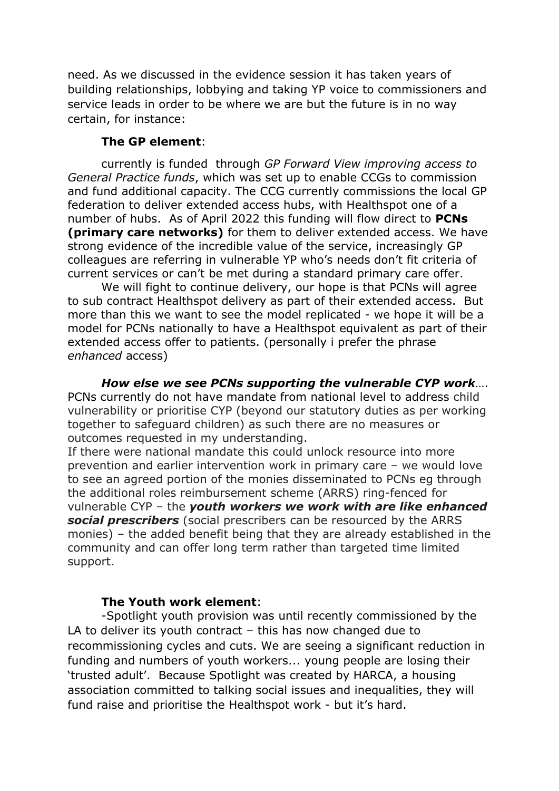need. As we discussed in the evidence session it has taken years of building relationships, lobbying and taking YP voice to commissioners and service leads in order to be where we are but the future is in no way certain, for instance:

#### **The GP element**:

currently is funded through *GP Forward View improving access to General Practice funds*, which was set up to enable CCGs to commission and fund additional capacity. The CCG currently commissions the local GP federation to deliver extended access hubs, with Healthspot one of a number of hubs. As of April 2022 this funding will flow direct to **PCNs (primary care networks)** for them to deliver extended access. We have strong evidence of the incredible value of the service, increasingly GP colleagues are referring in vulnerable YP who's needs don't fit criteria of current services or can't be met during a standard primary care offer.

We will fight to continue delivery, our hope is that PCNs will agree to sub contract Healthspot delivery as part of their extended access. But more than this we want to see the model replicated - we hope it will be a model for PCNs nationally to have a Healthspot equivalent as part of their extended access offer to patients. (personally i prefer the phrase *enhanced* access)

*How else we see PCNs supporting the vulnerable CYP work*…. PCNs currently do not have mandate from national level to address child vulnerability or prioritise CYP (beyond our statutory duties as per working together to safeguard children) as such there are no measures or outcomes requested in my understanding.

If there were national mandate this could unlock resource into more prevention and earlier intervention work in primary care – we would love to see an agreed portion of the monies disseminated to PCNs eg through the additional roles reimbursement scheme (ARRS) ring-fenced for vulnerable CYP – the *youth workers we work with are like enhanced social prescribers* (social prescribers can be resourced by the ARRS monies) – the added benefit being that they are already established in the community and can offer long term rather than targeted time limited support.

#### **The Youth work element**:

-Spotlight youth provision was until recently commissioned by the LA to deliver its youth contract – this has now changed due to recommissioning cycles and cuts. We are seeing a significant reduction in funding and numbers of youth workers... young people are losing their 'trusted adult'. Because Spotlight was created by HARCA, a housing association committed to talking social issues and inequalities, they will fund raise and prioritise the Healthspot work - but it's hard.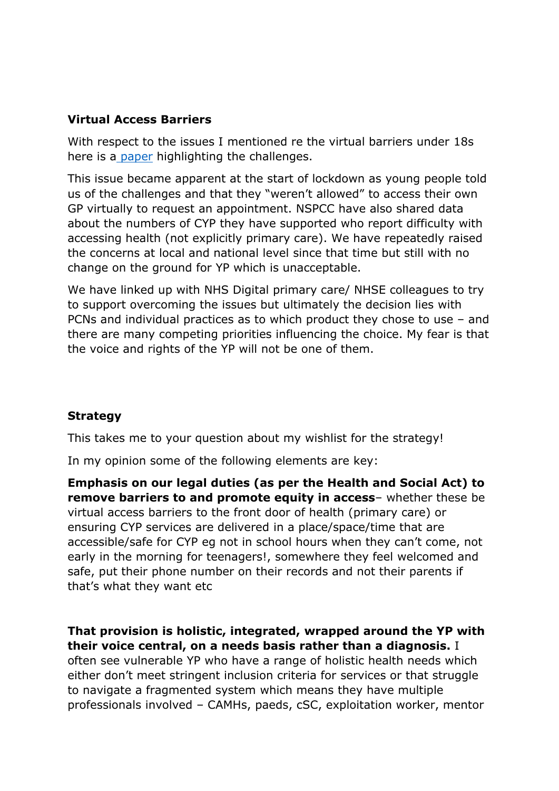# **Virtual Access Barriers**

With respect to the issues I mentioned re the virtual barriers under 18s here is [a](https://nhs-my.sharepoint.com/:w:/g/personal/helen_jones66_nhs_net/EZ75stJhTc1BtpgXehbCqMABkP4lBFVoinDgsHOsnNTD5Q) [paper](https://nhs-my.sharepoint.com/:w:/g/personal/helen_jones66_nhs_net/EZ75stJhTc1BtpgXehbCqMABkP4lBFVoinDgsHOsnNTD5Q) highlighting the challenges.

This issue became apparent at the start of lockdown as young people told us of the challenges and that they "weren't allowed" to access their own GP virtually to request an appointment. NSPCC have also shared data about the numbers of CYP they have supported who report difficulty with accessing health (not explicitly primary care). We have repeatedly raised the concerns at local and national level since that time but still with no change on the ground for YP which is unacceptable.

We have linked up with NHS Digital primary care/ NHSE colleagues to try to support overcoming the issues but ultimately the decision lies with PCNs and individual practices as to which product they chose to use – and there are many competing priorities influencing the choice. My fear is that the voice and rights of the YP will not be one of them.

# **Strategy**

This takes me to your question about my wishlist for the strategy!

In my opinion some of the following elements are key:

**Emphasis on our legal duties (as per the Health and Social Act) to remove barriers to and promote equity in access**– whether these be virtual access barriers to the front door of health (primary care) or ensuring CYP services are delivered in a place/space/time that are accessible/safe for CYP eg not in school hours when they can't come, not early in the morning for teenagers!, somewhere they feel welcomed and safe, put their phone number on their records and not their parents if that's what they want etc

### **That provision is holistic, integrated, wrapped around the YP with their voice central, on a needs basis rather than a diagnosis.** I

often see vulnerable YP who have a range of holistic health needs which either don't meet stringent inclusion criteria for services or that struggle to navigate a fragmented system which means they have multiple professionals involved – CAMHs, paeds, cSC, exploitation worker, mentor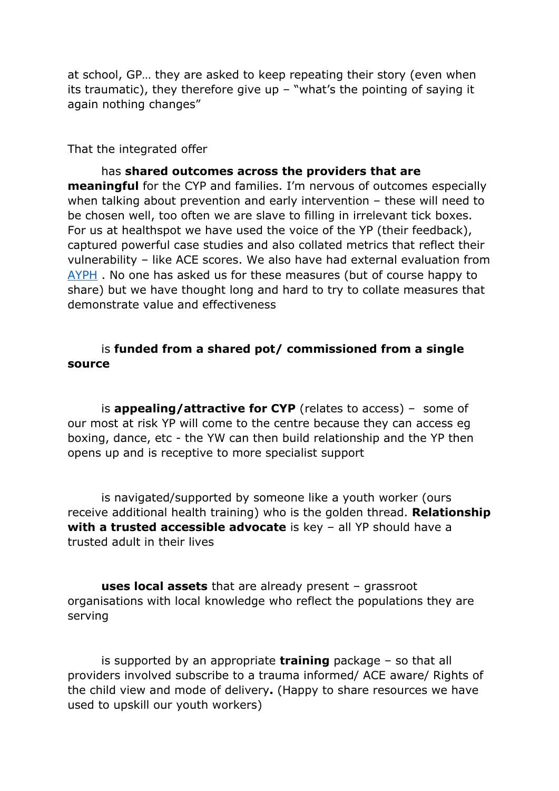at school, GP… they are asked to keep repeating their story (even when its traumatic), they therefore give up  $-$  "what's the pointing of saying it again nothing changes"

That the integrated offer

has **shared outcomes across the providers that are meaningful** for the CYP and families. I'm nervous of outcomes especially when talking about prevention and early intervention – these will need to be chosen well, too often we are slave to filling in irrelevant tick boxes. For us at healthspot we have used the voice of the YP (their feedback), captured powerful case studies and also collated metrics that reflect their vulnerability – like ACE scores. We also have had external evaluation from [AYPH](file:///C:/Users/joneshe/Downloads/Appendix%205-%20Health%20Spot%20Evaluation.pdf) . No one has asked us for these measures (but of course happy to share) but we have thought long and hard to try to collate measures that demonstrate value and effectiveness

#### is **funded from a shared pot/ commissioned from a single source**

is **appealing/attractive for CYP** (relates to access) – some of our most at risk YP will come to the centre because they can access eg boxing, dance, etc - the YW can then build relationship and the YP then opens up and is receptive to more specialist support

is navigated/supported by someone like a youth worker (ours receive additional health training) who is the golden thread. **Relationship with a trusted accessible advocate** is key – all YP should have a trusted adult in their lives

**uses local assets** that are already present – grassroot organisations with local knowledge who reflect the populations they are serving

is supported by an appropriate **training** package – so that all providers involved subscribe to a trauma informed/ ACE aware/ Rights of the child view and mode of delivery**.** (Happy to share resources we have used to upskill our youth workers)